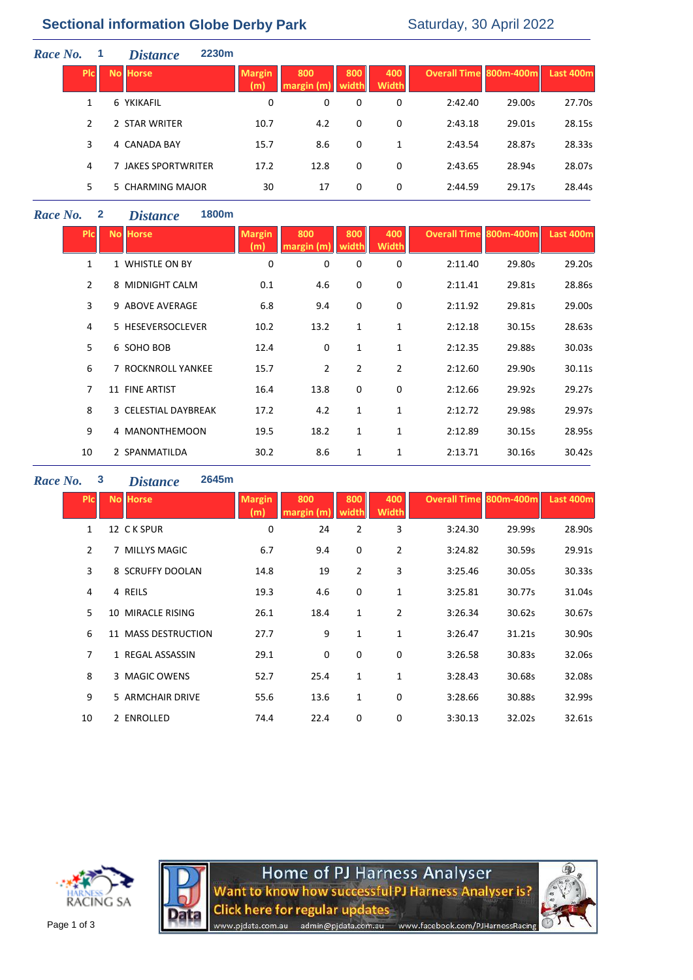# **Sectional information Globe Derby Park** Saturday, 30 April 2022

| Race No. |            | 2230 <sub>m</sub><br><b>Distance</b> |                      |                   |              |                     |                        |        |           |
|----------|------------|--------------------------------------|----------------------|-------------------|--------------|---------------------|------------------------|--------|-----------|
|          | <b>PIC</b> | <b>No Horse</b>                      | <b>Margin</b><br>(m) | 800<br>margin (m) | 800<br>width | 400<br><b>Width</b> | Overall Time 800m-400m |        | Last 400m |
|          | 1          | 6 YKIKAFIL                           | 0                    | 0                 | 0            | 0                   | 2:42.40                | 29.00s | 27.70s    |
|          | 2          | 2 STAR WRITER                        | 10.7                 | 4.2               | 0            | 0                   | 2:43.18                | 29.01s | 28.15s    |
|          | 3          | 4 CANADA BAY                         | 15.7                 | 8.6               | 0            | 1                   | 2:43.54                | 28.87s | 28.33s    |
|          | 4          | 7 JAKES SPORTWRITER                  | 17.2                 | 12.8              | 0            | 0                   | 2:43.65                | 28.94s | 28.07s    |
|          | 5          | 5 CHARMING MAJOR                     | 30                   | 17                | 0            | 0                   | 2:44.59                | 29.17s | 28.44s    |

### *Race No.* **2** *Distance* **1800m**

| <b>PIC</b>     | <b>No Horse</b>      | <b>Margin</b><br>(m) | 800<br>margin (m) | 800<br>width | 400<br>Width   | <b>Overall Time 800m-400m</b> |        | <b>Last 400m</b> |
|----------------|----------------------|----------------------|-------------------|--------------|----------------|-------------------------------|--------|------------------|
| $\mathbf{1}$   | 1 WHISTLE ON BY      | 0                    | 0                 | 0            | 0              | 2:11.40                       | 29.80s | 29.20s           |
| $\overline{2}$ | 8 MIDNIGHT CALM      | 0.1                  | 4.6               | 0            | 0              | 2:11.41                       | 29.81s | 28.86s           |
| $\overline{3}$ | 9 ABOVE AVERAGE      | 6.8                  | 9.4               | $\mathbf 0$  | 0              | 2:11.92                       | 29.81s | 29.00s           |
| 4              | 5 HESEVERSOCLEVER    | 10.2                 | 13.2              | 1            | $\mathbf{1}$   | 2:12.18                       | 30.15s | 28.63s           |
| 5              | 6 SOHO BOB           | 12.4                 | 0                 | 1            | $\mathbf{1}$   | 2:12.35                       | 29.88s | 30.03s           |
| 6              | 7 ROCKNROLL YANKEE   | 15.7                 | $\overline{2}$    | 2            | $\overline{2}$ | 2:12.60                       | 29.90s | 30.11s           |
| 7              | 11 FINE ARTIST       | 16.4                 | 13.8              | $\mathbf 0$  | $\mathbf 0$    | 2:12.66                       | 29.92s | 29.27s           |
| 8              | 3 CELESTIAL DAYBREAK | 17.2                 | 4.2               | 1            | $\mathbf{1}$   | 2:12.72                       | 29.98s | 29.97s           |
| 9              | 4 MANONTHEMOON       | 19.5                 | 18.2              | 1            | 1              | 2:12.89                       | 30.15s | 28.95s           |
| 10             | 2 SPANMATILDA        | 30.2                 | 8.6               | 1            | 1              | 2:13.71                       | 30.16s | 30.42s           |

#### *Race No.* **3** *Distance* **2645m**

| <b>PIc</b>     | <b>No Horse</b>     | <b>Margin</b><br>(m) | 800<br>margin (m | 800<br>width | 400<br>Width   | <b>Overall Time 800m-400m</b> |        | Last 400m |
|----------------|---------------------|----------------------|------------------|--------------|----------------|-------------------------------|--------|-----------|
| $\mathbf{1}$   | 12 CK SPUR          | 0                    | 24               | 2            | 3              | 3:24.30                       | 29.99s | 28.90s    |
| $\overline{2}$ | 7 MILLYS MAGIC      | 6.7                  | 9.4              | 0            | $\overline{2}$ | 3:24.82                       | 30.59s | 29.91s    |
| 3              | 8 SCRUFFY DOOLAN    | 14.8                 | 19               | 2            | 3              | 3:25.46                       | 30.05s | 30.33s    |
| 4              | 4 REILS             | 19.3                 | 4.6              | 0            | 1              | 3:25.81                       | 30.77s | 31.04s    |
| 5              | 10 MIRACLE RISING   | 26.1                 | 18.4             | $\mathbf{1}$ | $\overline{2}$ | 3:26.34                       | 30.62s | 30.67s    |
| 6              | 11 MASS DESTRUCTION | 27.7                 | 9                | $\mathbf{1}$ | $\mathbf{1}$   | 3:26.47                       | 31.21s | 30.90s    |
| $\overline{7}$ | 1 REGAL ASSASSIN    | 29.1                 | 0                | 0            | 0              | 3:26.58                       | 30.83s | 32.06s    |
| 8              | 3 MAGIC OWENS       | 52.7                 | 25.4             | $\mathbf{1}$ | 1              | 3:28.43                       | 30.68s | 32.08s    |
| 9              | 5 ARMCHAIR DRIVE    | 55.6                 | 13.6             | $\mathbf{1}$ | 0              | 3:28.66                       | 30.88s | 32.99s    |
| 10             | 2 ENROLLED          | 74.4                 | 22.4             | 0            | 0              | 3:30.13                       | 32.02s | 32.61s    |
|                |                     |                      |                  |              |                |                               |        |           |





Home of PJ Harness Analyser<br>Want to know how successful PJ Harness Analyser is? **Click here for regular updates** www.pjdata.com.au admin@pjdata.com.au www.facebook.com/PJHarnessRacing

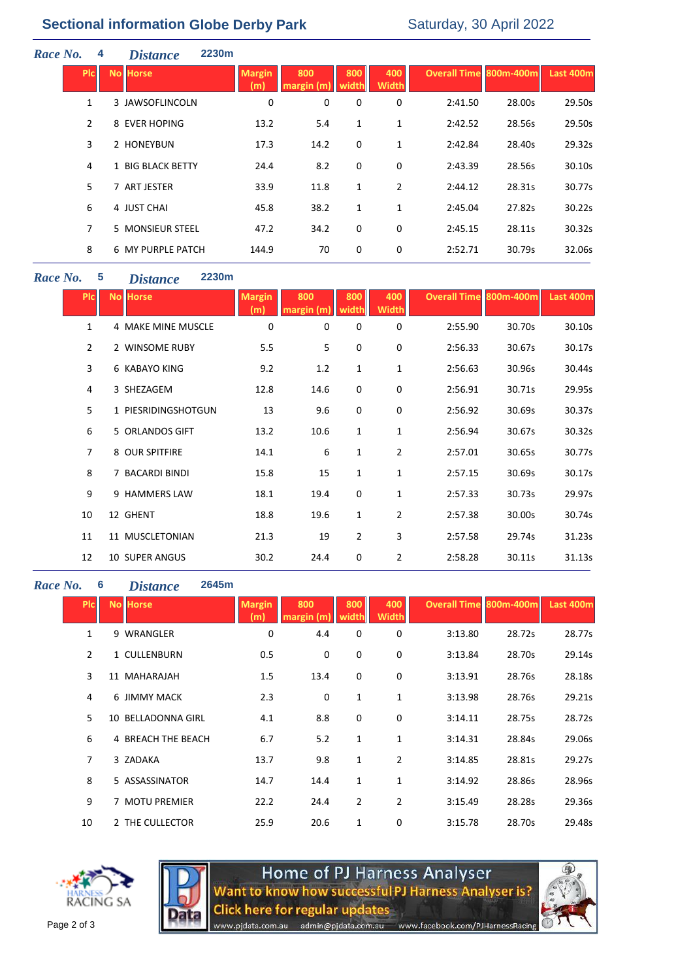| Race No. |                | 4 | <b>Distance</b>   | 2230m |                      |                     |              |                     |                               |        |           |
|----------|----------------|---|-------------------|-------|----------------------|---------------------|--------------|---------------------|-------------------------------|--------|-----------|
|          | <b>PIc</b>     |   | <b>No Horse</b>   |       | <b>Margin</b><br>(m) | 800<br>margin $(m)$ | 800<br>width | 400<br><b>Width</b> | <b>Overall Time 800m-400m</b> |        | Last 400m |
|          | 1              |   | 3 JAWSOFLINCOLN   |       | 0                    | 0                   | 0            | 0                   | 2:41.50                       | 28.00s | 29.50s    |
|          | $\overline{2}$ |   | 8 EVER HOPING     |       | 13.2                 | 5.4                 | $\mathbf{1}$ | 1                   | 2:42.52                       | 28.56s | 29.50s    |
|          | 3              |   | 2 HONEYBUN        |       | 17.3                 | 14.2                | 0            | $\mathbf{1}$        | 2:42.84                       | 28.40s | 29.32s    |
|          | 4              |   | 1 BIG BLACK BETTY |       | 24.4                 | 8.2                 | 0            | 0                   | 2:43.39                       | 28.56s | 30.10s    |
|          | 5              |   | 7 ART JESTER      |       | 33.9                 | 11.8                | 1            | $\overline{2}$      | 2:44.12                       | 28.31s | 30.77s    |
|          | 6              |   | 4 JUST CHAI       |       | 45.8                 | 38.2                | 1            | 1                   | 2:45.04                       | 27.82s | 30.22s    |
|          | 7              |   | 5 MONSIEUR STEEL  |       | 47.2                 | 34.2                | 0            | 0                   | 2:45.15                       | 28.11s | 30.32s    |
|          | 8              |   | 6 MY PURPLE PATCH |       | 144.9                | 70                  | 0            | 0                   | 2:52.71                       | 30.79s | 32.06s    |

## *Race No.* **5** *Distance* **2230m**

| <b>PIC</b>     | <b>No Horse</b>       | <b>Margin</b><br>(m) | 800<br>margin (m) | 800<br>widtl   | 400<br><b>Width</b> | <b>Overall Time 800m-400m</b> |        | <b>Last 400m</b> |
|----------------|-----------------------|----------------------|-------------------|----------------|---------------------|-------------------------------|--------|------------------|
| $\mathbf{1}$   | 4 MAKE MINE MUSCLE    | $\mathbf 0$          | 0                 | 0              | $\mathbf 0$         | 2:55.90                       | 30.70s | 30.10s           |
| $\overline{2}$ | 2 WINSOME RUBY        | 5.5                  | 5                 | 0              | 0                   | 2:56.33                       | 30.67s | 30.17s           |
| $\overline{3}$ | 6 KABAYO KING         | 9.2                  | 1.2               | 1              | 1                   | 2:56.63                       | 30.96s | 30.44s           |
| 4              | 3 SHEZAGEM            | 12.8                 | 14.6              | 0              | 0                   | 2:56.91                       | 30.71s | 29.95s           |
| 5.             | 1 PIESRIDINGSHOTGUN   | 13                   | 9.6               | 0              | 0                   | 2:56.92                       | 30.69s | 30.37s           |
| 6              | 5 ORLANDOS GIFT       | 13.2                 | 10.6              | 1              | $\mathbf{1}$        | 2:56.94                       | 30.67s | 30.32s           |
| $\overline{7}$ | 8 OUR SPITFIRE        | 14.1                 | 6                 | 1              | $\overline{2}$      | 2:57.01                       | 30.65s | 30.77s           |
| 8              | 7 BACARDI BINDI       | 15.8                 | 15                | 1              | $\mathbf 1$         | 2:57.15                       | 30.69s | 30.17s           |
| 9              | 9 HAMMERS LAW         | 18.1                 | 19.4              | 0              | $\mathbf 1$         | 2:57.33                       | 30.73s | 29.97s           |
| 10             | 12 GHENT              | 18.8                 | 19.6              | 1              | $\overline{2}$      | 2:57.38                       | 30.00s | 30.74s           |
| 11             | 11 MUSCLETONIAN       | 21.3                 | 19                | $\overline{2}$ | 3                   | 2:57.58                       | 29.74s | 31.23s           |
| 12             | <b>10 SUPER ANGUS</b> | 30.2                 | 24.4              | 0              | 2                   | 2:58.28                       | 30.11s | 31.13s           |

#### *Race No.* **6** *Distance* **2645m**

| <b>Plc</b>     | <b>No Horse</b>    | <b>Margin</b><br>(m) | 800<br>margin (m) | 800<br>width   | 400<br><b>Width</b> | <b>Overall Time 800m-400m</b> |        | Last 400m |
|----------------|--------------------|----------------------|-------------------|----------------|---------------------|-------------------------------|--------|-----------|
| 1              | 9 WRANGLER         | 0                    | 4.4               | 0              | 0                   | 3:13.80                       | 28.72s | 28.77s    |
| $\overline{2}$ | 1 CULLENBURN       | 0.5                  | 0                 | 0              | 0                   | 3:13.84                       | 28.70s | 29.14s    |
| 3              | 11 MAHARAJAH       | 1.5                  | 13.4              | 0              | 0                   | 3:13.91                       | 28.76s | 28.18s    |
| 4              | 6 JIMMY MACK       | 2.3                  | 0                 | $\mathbf{1}$   | 1                   | 3:13.98                       | 28.76s | 29.21s    |
| 5              | 10 BELLADONNA GIRL | 4.1                  | 8.8               | 0              | 0                   | 3:14.11                       | 28.75s | 28.72s    |
| 6              | 4 BREACH THE BEACH | 6.7                  | 5.2               | 1              | 1                   | 3:14.31                       | 28.84s | 29.06s    |
| $\overline{7}$ | 3 ZADAKA           | 13.7                 | 9.8               | $\mathbf{1}$   | $\overline{2}$      | 3:14.85                       | 28.81s | 29.27s    |
| 8              | 5 ASSASSINATOR     | 14.7                 | 14.4              | $\mathbf{1}$   | 1                   | 3:14.92                       | 28.86s | 28.96s    |
| 9              | 7 MOTU PREMIER     | 22.2                 | 24.4              | $\overline{2}$ | $\overline{2}$      | 3:15.49                       | 28.28s | 29.36s    |
| 10             | 2 THE CULLECTOR    | 25.9                 | 20.6              | 1              | 0                   | 3:15.78                       | 28.70s | 29.48s    |





Home of PJ Harness Analyser<br>Want to know how successful PJ Harness Analyser is? **Click here for regular updates** www.pjdata.com.au admin@pjdata.com.au www.facebook.com/PJHarnessRacing